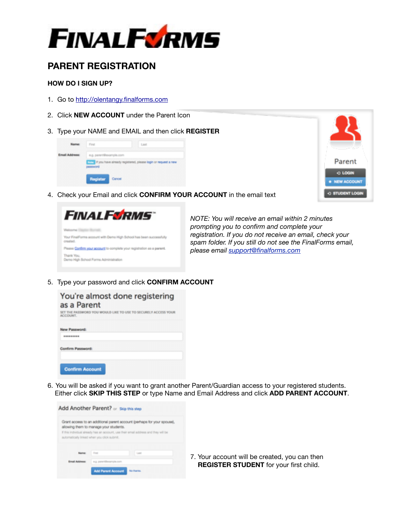

# **PARENT REGISTRATION**

### **HOW DO I SIGN UP?**

- 1. Go to http://olentangy.finalforms.com
- 2. Click **NEW ACCOUNT** under the Parent Icon
- 3. Type your NAME and EMAIL and then click **REGISTER**





4. Check your Email and click **CONFIRM YOUR ACCOUNT** in the email text



*<i>prompting you to confirm and complete your registration. If you do not receive an email, check your spam folder. If you still do not see the FinalForms email, spam folder. If you still do not see the FinalForms email,* 

5. Type your password and click **CONFIRM ACCOUNT**

| You're almost done registering<br>as a Parent<br>SET THE PASSWORD YOU WOULD LIKE TO USE TO SECURELY ACCESS YOUR<br>ACCOUNT. |
|-----------------------------------------------------------------------------------------------------------------------------|
| New Password:                                                                                                               |
| *********                                                                                                                   |
| Confirm Password:                                                                                                           |
| <b>Confirm Account</b>                                                                                                      |

6. You will be asked if you want to grant another Parent/Guardian access to your registered students. Either click **SKIP THIS STEP** or type Name and Email Address and click **ADD PARENT ACCOUNT**.

| Grant access to an additional parent account (perhaps for your spouse),<br>allowing them to manage your students. |           |
|-------------------------------------------------------------------------------------------------------------------|-----------|
| If this individual almady has an account, use their email address and they will be                                |           |
|                                                                                                                   |           |
| automatically linked when you click submit.                                                                       |           |
|                                                                                                                   |           |
|                                                                                                                   |           |
| First<br>Last                                                                                                     | 7. Your a |

account will be created, you can then **STER STUDENT** for your first child.